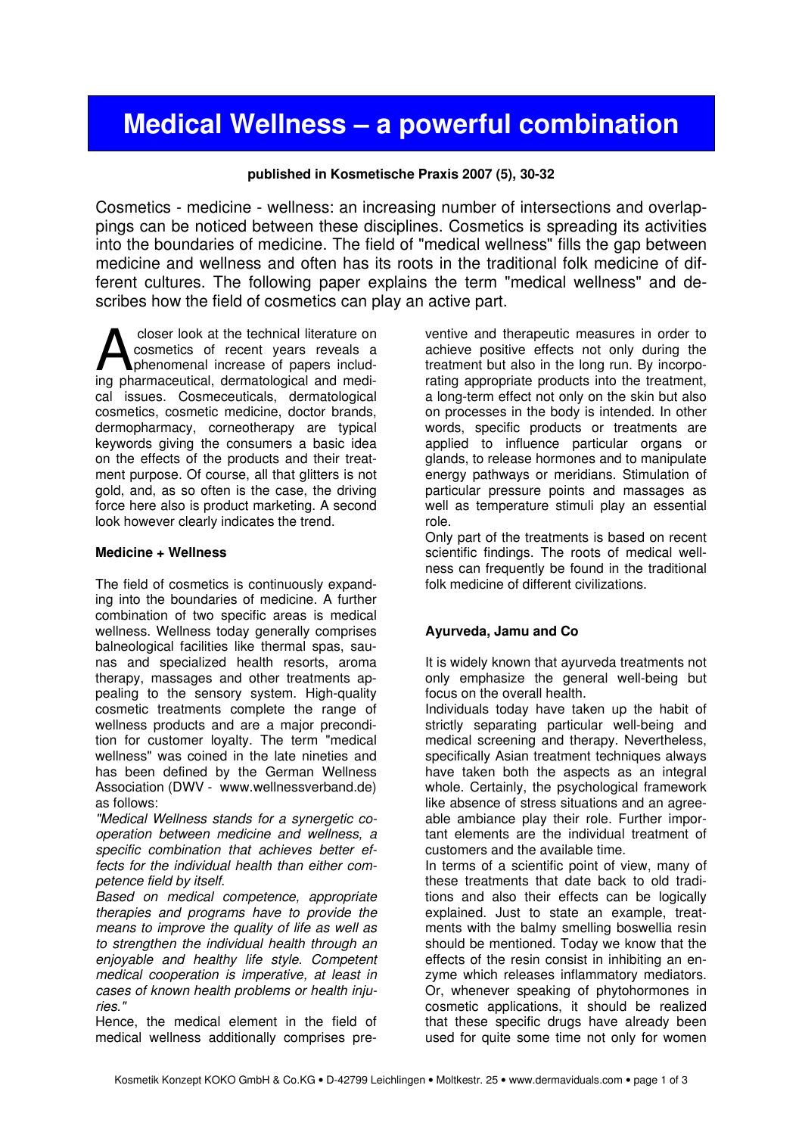# Medical Wellness – a powerful combination

### published in Kosmetische Praxis 2007 (5), 30-32

Cosmetics - medicine - wellness: an increasing number of intersections and overlappings can be noticed between these disciplines. Cosmetics is spreading its activities into the boundaries of medicine. The field of "medical wellness" fills the gap between medicine and wellness and often has its roots in the traditional folk medicine of different cultures. The following paper explains the term "medical wellness" and describes how the field of cosmetics can play an active part.

 closer look at the technical literature on cosmetics of recent years reveals a phenomenal increase of papers includcloser look at the technical literature on<br>cosmetics of recent years reveals a<br>phenomenal increase of papers includ-<br>ing pharmaceutical, dermatological and medical issues. Cosmeceuticals, dermatological cosmetics, cosmetic medicine, doctor brands, dermopharmacy, corneotherapy are typical keywords giving the consumers a basic idea on the effects of the products and their treatment purpose. Of course, all that glitters is not gold, and, as so often is the case, the driving force here also is product marketing. A second look however clearly indicates the trend.

#### Medicine + Wellness

The field of cosmetics is continuously expanding into the boundaries of medicine. A further combination of two specific areas is medical wellness. Wellness today generally comprises balneological facilities like thermal spas, saunas and specialized health resorts, aroma therapy, massages and other treatments appealing to the sensory system. High-quality cosmetic treatments complete the range of wellness products and are a major precondition for customer loyalty. The term "medical wellness" was coined in the late nineties and has been defined by the German Wellness Association (DWV - www.wellnessverband.de) as follows:

"Medical Wellness stands for a synergetic cooperation between medicine and wellness, a specific combination that achieves better effects for the individual health than either competence field by itself.

Based on medical competence, appropriate therapies and programs have to provide the means to improve the quality of life as well as to strengthen the individual health through an enjoyable and healthy life style. Competent medical cooperation is imperative, at least in cases of known health problems or health injuries."

Hence, the medical element in the field of medical wellness additionally comprises preventive and therapeutic measures in order to achieve positive effects not only during the treatment but also in the long run. By incorporating appropriate products into the treatment, a long-term effect not only on the skin but also on processes in the body is intended. In other words, specific products or treatments are applied to influence particular organs or glands, to release hormones and to manipulate energy pathways or meridians. Stimulation of particular pressure points and massages as well as temperature stimuli play an essential role.

Only part of the treatments is based on recent scientific findings. The roots of medical wellness can frequently be found in the traditional folk medicine of different civilizations.

### Ayurveda, Jamu and Co

It is widely known that ayurveda treatments not only emphasize the general well-being but focus on the overall health.

Individuals today have taken up the habit of strictly separating particular well-being and medical screening and therapy. Nevertheless, specifically Asian treatment techniques always have taken both the aspects as an integral whole. Certainly, the psychological framework like absence of stress situations and an agreeable ambiance play their role. Further important elements are the individual treatment of customers and the available time.

In terms of a scientific point of view, many of these treatments that date back to old traditions and also their effects can be logically explained. Just to state an example, treatments with the balmy smelling boswellia resin should be mentioned. Today we know that the effects of the resin consist in inhibiting an enzyme which releases inflammatory mediators. Or, whenever speaking of phytohormones in cosmetic applications, it should be realized that these specific drugs have already been used for quite some time not only for women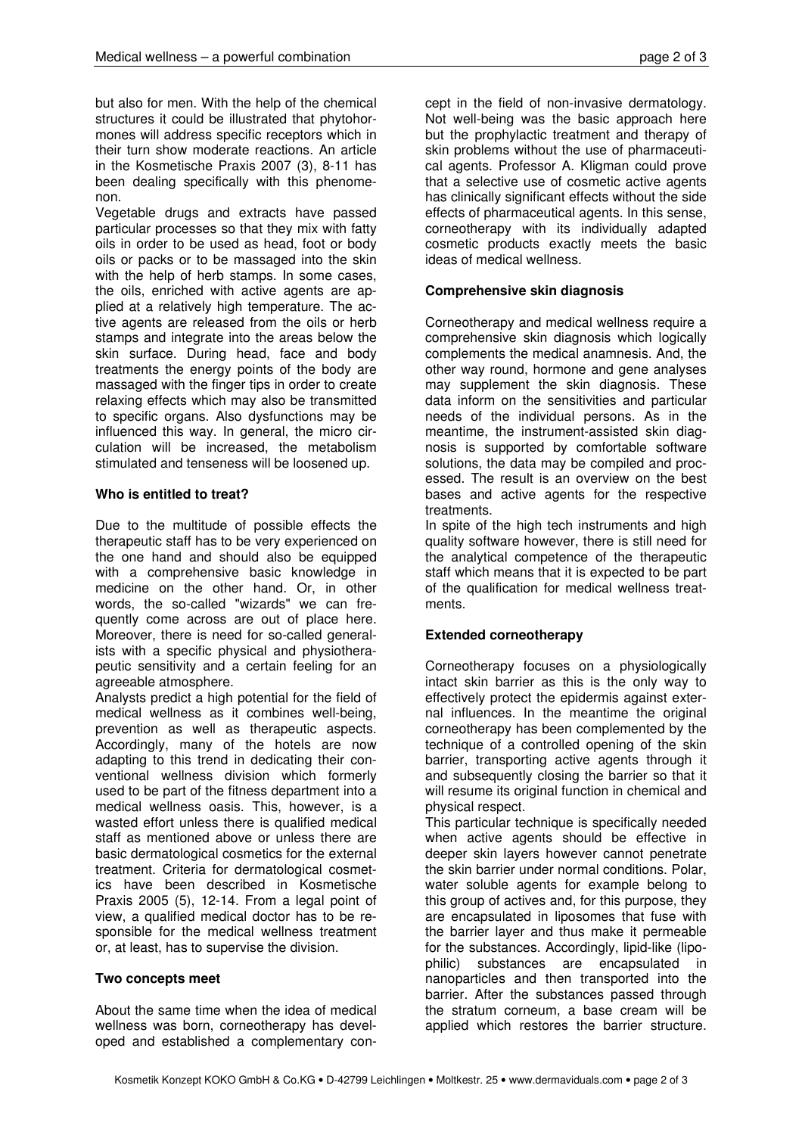but also for men. With the help of the chemical structures it could be illustrated that phytohormones will address specific receptors which in their turn show moderate reactions. An article in the Kosmetische Praxis 2007 (3), 8-11 has been dealing specifically with this phenomenon.

Vegetable drugs and extracts have passed particular processes so that they mix with fatty oils in order to be used as head, foot or body oils or packs or to be massaged into the skin with the help of herb stamps. In some cases, the oils, enriched with active agents are applied at a relatively high temperature. The active agents are released from the oils or herb stamps and integrate into the areas below the skin surface. During head, face and body treatments the energy points of the body are massaged with the finger tips in order to create relaxing effects which may also be transmitted to specific organs. Also dysfunctions may be influenced this way. In general, the micro circulation will be increased, the metabolism stimulated and tenseness will be loosened up.

## Who is entitled to treat?

Due to the multitude of possible effects the therapeutic staff has to be very experienced on the one hand and should also be equipped with a comprehensive basic knowledge in medicine on the other hand. Or, in other words, the so-called "wizards" we can frequently come across are out of place here. Moreover, there is need for so-called generalists with a specific physical and physiotherapeutic sensitivity and a certain feeling for an agreeable atmosphere.

Analysts predict a high potential for the field of medical wellness as it combines well-being, prevention as well as therapeutic aspects. Accordingly, many of the hotels are now adapting to this trend in dedicating their conventional wellness division which formerly used to be part of the fitness department into a medical wellness oasis. This, however, is a wasted effort unless there is qualified medical staff as mentioned above or unless there are basic dermatological cosmetics for the external treatment. Criteria for dermatological cosmetics have been described in Kosmetische Praxis 2005 (5), 12-14. From a legal point of view, a qualified medical doctor has to be responsible for the medical wellness treatment or, at least, has to supervise the division.

## Two concepts meet

About the same time when the idea of medical wellness was born, corneotherapy has developed and established a complementary concept in the field of non-invasive dermatology. Not well-being was the basic approach here but the prophylactic treatment and therapy of skin problems without the use of pharmaceutical agents. Professor A. Kligman could prove that a selective use of cosmetic active agents has clinically significant effects without the side effects of pharmaceutical agents. In this sense, corneotherapy with its individually adapted cosmetic products exactly meets the basic ideas of medical wellness.

## Comprehensive skin diagnosis

Corneotherapy and medical wellness require a comprehensive skin diagnosis which logically complements the medical anamnesis. And, the other way round, hormone and gene analyses may supplement the skin diagnosis. These data inform on the sensitivities and particular needs of the individual persons. As in the meantime, the instrument-assisted skin diagnosis is supported by comfortable software solutions, the data may be compiled and processed. The result is an overview on the best bases and active agents for the respective treatments.

In spite of the high tech instruments and high quality software however, there is still need for the analytical competence of the therapeutic staff which means that it is expected to be part of the qualification for medical wellness treatments.

# Extended corneotherapy

Corneotherapy focuses on a physiologically intact skin barrier as this is the only way to effectively protect the epidermis against external influences. In the meantime the original corneotherapy has been complemented by the technique of a controlled opening of the skin barrier, transporting active agents through it and subsequently closing the barrier so that it will resume its original function in chemical and physical respect.

This particular technique is specifically needed when active agents should be effective in deeper skin layers however cannot penetrate the skin barrier under normal conditions. Polar, water soluble agents for example belong to this group of actives and, for this purpose, they are encapsulated in liposomes that fuse with the barrier layer and thus make it permeable for the substances. Accordingly, lipid-like (lipophilic) substances are encapsulated in nanoparticles and then transported into the barrier. After the substances passed through the stratum corneum, a base cream will be applied which restores the barrier structure.